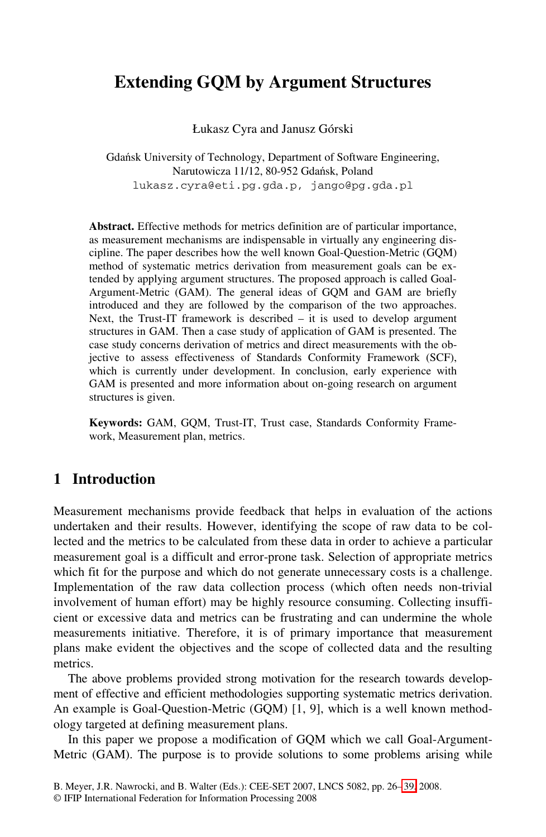## **Extending GQM by Argument Structures**

Łukasz Cyra and Janusz Górski

Gdańsk University of Technology, Department of Software Engineering, Narutowicza 11/12, 80-952 Gdańsk, Poland lukasz.cyra@eti.pg.gda.p, jango@pg.gda.pl

**Abstract.** Effective methods for metrics definition are of particular importance, as measurement mechanisms are indispensable in virtually any engineering discipline. The paper describes how the well known Goal-Question-Metric (GQM) method of systematic metrics derivation from measurement goals can be extended by applying argument structures. The proposed approach is called Goal-Argument-Metric (GAM). The general ideas of GQM and GAM are briefly introduced and they are followed by the comparison of the two approaches. Next, the Trust-IT framework is described – it is used to develop argument structures in GAM. Then a case study of application of GAM is presented. The case study concerns derivation of metrics and direct measurements with the objective to assess effectiveness of Standards Conformity Framework (SCF), which is currently under development. In conclusion, early experience with GAM is presented and more information about on-going research on argument structures is given.

**Keywords:** GAM, GQM, Trust-IT, Trust case, Standards Conformity Framework, Measurement plan, metrics.

### **1 Introduction**

Measurement mechanisms provide feedback that helps in evaluation of the actions undertaken and their results. However, identifying the scope of raw data to be collected and the metrics to be calculated from these data in order to achieve a particular measurement goal is a difficult and error-prone task. Selection of appropriate metrics which fit for the purpose and which do not generate unnecessary costs is a challenge. Implementation of the raw data collection process (which often needs non-trivial involvement of human effort) may be highly resource consuming. Collecting insufficient or excessive data and metrics can be frustrating and can undermine the whole measurements initiative. Therefore, it is of primary importance that measurement plans make evident the objectives and the scope of collected data and the resulting metrics.

The above problems provided strong motiva[tion](#page-13-0) for the research towards development of effective and efficient methodologies supporting systematic metrics derivation. An example is Goal-Question-Metric (GQM) [1, 9], which is a well known methodology targeted at defining measurement plans.

In this paper we propose a modification of GQM which we call Goal-Argument-Metric (GAM). The purpose is to provide solutions to some problems arising while

B. Meyer, J.R. Nawrocki, and B. Walter (Eds.): CEE-SET 2007, LNCS 5082, pp. 26– 39, 2008.

<sup>©</sup> IFIP International Federation for Information Processing 2008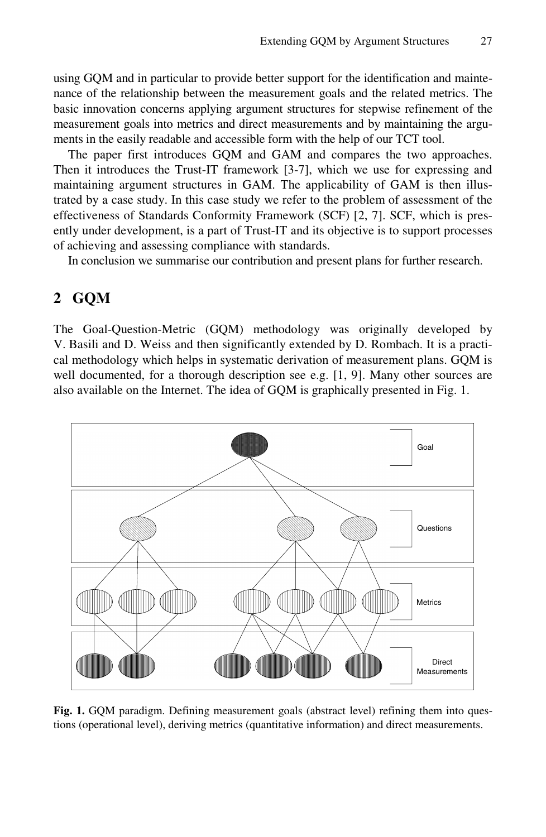using GQM and in particular to provide better support for the identification and maintenance of the relationship between the measurement goals and the related metrics. The basic innovation concerns applying argument structures for stepwise refinement of the measurement goals into metrics and direct measurements and by maintaining the arguments in the easily readable and accessible form with the help of our TCT tool.

The paper first introduces GQM and GAM and compares the two approaches. Then it introduces the Trust-IT framework [3-7], which we use for expressing and maintaining argument structures in GAM. The applicability of GAM is then illustrated by a case study. In this case study we refer to the problem of assessment of the effectiveness of Standards Conformity Framework (SCF) [2, 7]. SCF, which is presently under development, is a part of Trust-IT and its objective is to support processes of achieving and assessing compliance with standards.

In conclusion we summarise our contribution and present plans for further research.

### **2 GQM**

The Goal-Question-Metric (GQM) methodology was originally developed by V. Basili and D. Weiss and then significantly extended by D. Rombach. It is a practical methodology which helps in systematic derivation of measurement plans. GQM is well documented, for a thorough description see e.g. [1, 9]. Many other sources are also available on the Internet. The idea of GQM is graphically presented in Fig. 1.



**Fig. 1.** GQM paradigm. Defining measurement goals (abstract level) refining them into questions (operational level), deriving metrics (quantitative information) and direct measurements.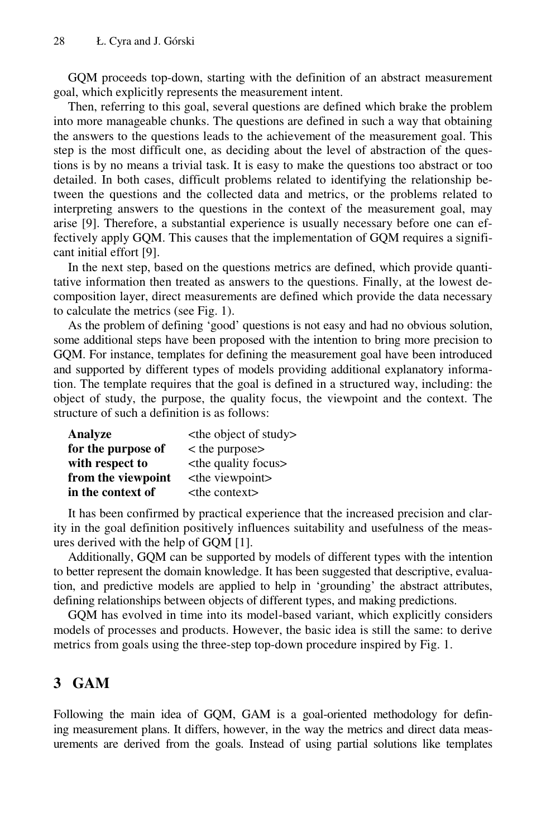GQM proceeds top-down, starting with the definition of an abstract measurement goal, which explicitly represents the measurement intent.

Then, referring to this goal, several questions are defined which brake the problem into more manageable chunks. The questions are defined in such a way that obtaining the answers to the questions leads to the achievement of the measurement goal. This step is the most difficult one, as deciding about the level of abstraction of the questions is by no means a trivial task. It is easy to make the questions too abstract or too detailed. In both cases, difficult problems related to identifying the relationship between the questions and the collected data and metrics, or the problems related to interpreting answers to the questions in the context of the measurement goal, may arise [9]. Therefore, a substantial experience is usually necessary before one can effectively apply GQM. This causes that the implementation of GQM requires a significant initial effort [9].

In the next step, based on the questions metrics are defined, which provide quantitative information then treated as answers to the questions. Finally, at the lowest decomposition layer, direct measurements are defined which provide the data necessary to calculate the metrics (see Fig. 1).

As the problem of defining 'good' questions is not easy and had no obvious solution, some additional steps have been proposed with the intention to bring more precision to GQM. For instance, templates for defining the measurement goal have been introduced and supported by different types of models providing additional explanatory information. The template requires that the goal is defined in a structured way, including: the object of study, the purpose, the quality focus, the viewpoint and the context. The structure of such a definition is as follows:

| <b>Analyze</b>     | <the object="" of="" study=""></the> |
|--------------------|--------------------------------------|
| for the purpose of | $<$ the purpose $>$                  |
| with respect to    | <the focus="" quality=""></the>      |
| from the viewpoint | <the viewpoint=""></the>             |
| in the context of  | $<$ the context $>$                  |

It has been confirmed by practical experience that the increased precision and clarity in the goal definition positively influences suitability and usefulness of the measures derived with the help of GQM [1].

Additionally, GQM can be supported by models of different types with the intention to better represent the domain knowledge. It has been suggested that descriptive, evaluation, and predictive models are applied to help in 'grounding' the abstract attributes, defining relationships between objects of different types, and making predictions.

GQM has evolved in time into its model-based variant, which explicitly considers models of processes and products. However, the basic idea is still the same: to derive metrics from goals using the three-step top-down procedure inspired by Fig. 1.

## **3 GAM**

Following the main idea of GQM, GAM is a goal-oriented methodology for defining measurement plans. It differs, however, in the way the metrics and direct data measurements are derived from the goals. Instead of using partial solutions like templates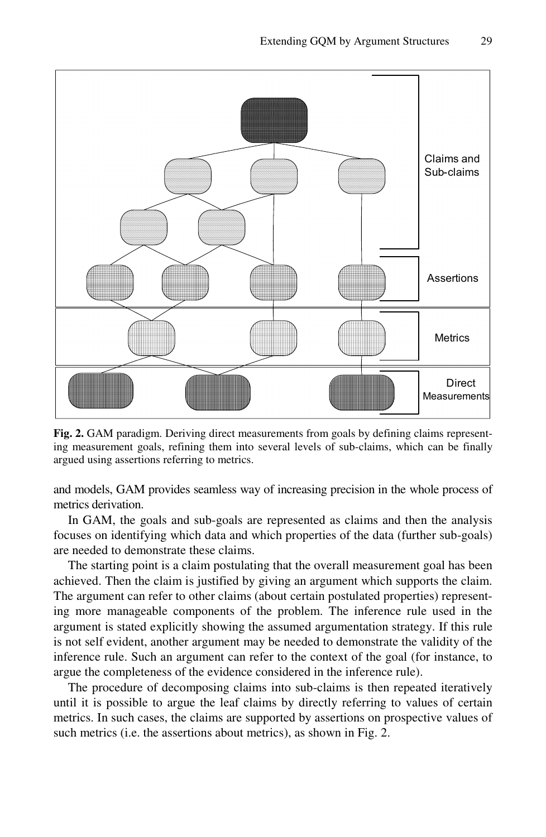

**Fig. 2.** GAM paradigm. Deriving direct measurements from goals by defining claims representing measurement goals, refining them into several levels of sub-claims, which can be finally argued using assertions referring to metrics.

and models, GAM provides seamless way of increasing precision in the whole process of metrics derivation.

In GAM, the goals and sub-goals are represented as claims and then the analysis focuses on identifying which data and which properties of the data (further sub-goals) are needed to demonstrate these claims.

The starting point is a claim postulating that the overall measurement goal has been achieved. Then the claim is justified by giving an argument which supports the claim. The argument can refer to other claims (about certain postulated properties) representing more manageable components of the problem. The inference rule used in the argument is stated explicitly showing the assumed argumentation strategy. If this rule is not self evident, another argument may be needed to demonstrate the validity of the inference rule. Such an argument can refer to the context of the goal (for instance, to argue the completeness of the evidence considered in the inference rule).

The procedure of decomposing claims into sub-claims is then repeated iteratively until it is possible to argue the leaf claims by directly referring to values of certain metrics. In such cases, the claims are supported by assertions on prospective values of such metrics (i.e. the assertions about metrics), as shown in Fig. 2.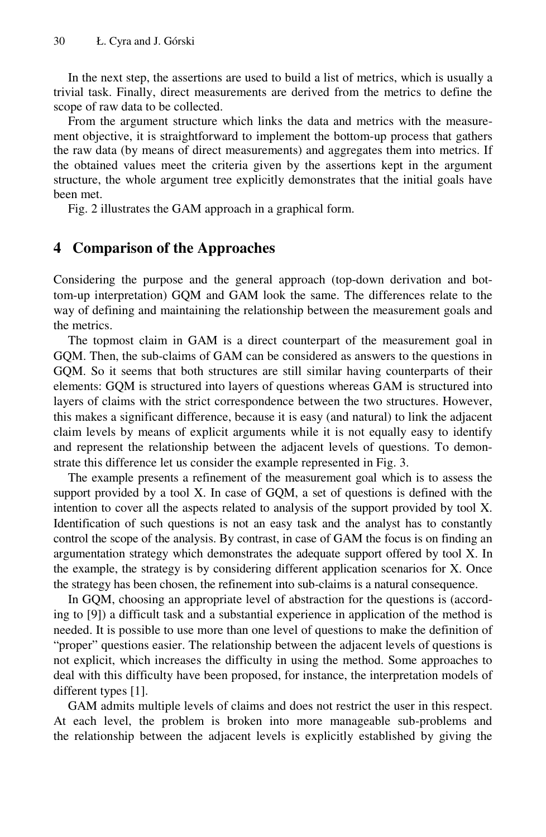In the next step, the assertions are used to build a list of metrics, which is usually a trivial task. Finally, direct measurements are derived from the metrics to define the scope of raw data to be collected.

From the argument structure which links the data and metrics with the measurement objective, it is straightforward to implement the bottom-up process that gathers the raw data (by means of direct measurements) and aggregates them into metrics. If the obtained values meet the criteria given by the assertions kept in the argument structure, the whole argument tree explicitly demonstrates that the initial goals have been met.

Fig. 2 illustrates the GAM approach in a graphical form.

#### **4 Comparison of the Approaches**

Considering the purpose and the general approach (top-down derivation and bottom-up interpretation) GQM and GAM look the same. The differences relate to the way of defining and maintaining the relationship between the measurement goals and the metrics.

The topmost claim in GAM is a direct counterpart of the measurement goal in GQM. Then, the sub-claims of GAM can be considered as answers to the questions in GQM. So it seems that both structures are still similar having counterparts of their elements: GQM is structured into layers of questions whereas GAM is structured into layers of claims with the strict correspondence between the two structures. However, this makes a significant difference, because it is easy (and natural) to link the adjacent claim levels by means of explicit arguments while it is not equally easy to identify and represent the relationship between the adjacent levels of questions. To demonstrate this difference let us consider the example represented in Fig. 3.

The example presents a refinement of the measurement goal which is to assess the support provided by a tool X. In case of GQM, a set of questions is defined with the intention to cover all the aspects related to analysis of the support provided by tool X. Identification of such questions is not an easy task and the analyst has to constantly control the scope of the analysis. By contrast, in case of GAM the focus is on finding an argumentation strategy which demonstrates the adequate support offered by tool X. In the example, the strategy is by considering different application scenarios for X. Once the strategy has been chosen, the refinement into sub-claims is a natural consequence.

In GQM, choosing an appropriate level of abstraction for the questions is (according to [9]) a difficult task and a substantial experience in application of the method is needed. It is possible to use more than one level of questions to make the definition of "proper" questions easier. The relationship between the adjacent levels of questions is not explicit, which increases the difficulty in using the method. Some approaches to deal with this difficulty have been proposed, for instance, the interpretation models of different types [1].

GAM admits multiple levels of claims and does not restrict the user in this respect. At each level, the problem is broken into more manageable sub-problems and the relationship between the adjacent levels is explicitly established by giving the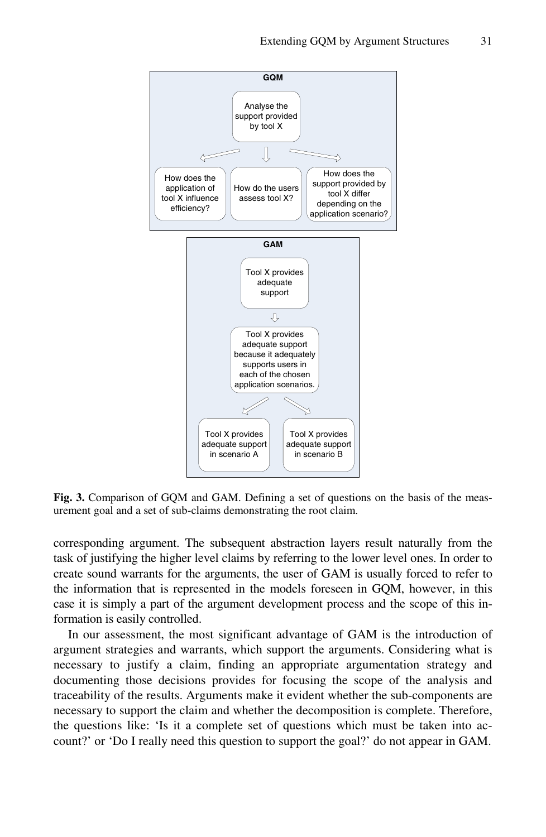

**Fig. 3.** Comparison of GQM and GAM. Defining a set of questions on the basis of the measurement goal and a set of sub-claims demonstrating the root claim.

corresponding argument. The subsequent abstraction layers result naturally from the task of justifying the higher level claims by referring to the lower level ones. In order to create sound warrants for the arguments, the user of GAM is usually forced to refer to the information that is represented in the models foreseen in GQM, however, in this case it is simply a part of the argument development process and the scope of this information is easily controlled.

In our assessment, the most significant advantage of GAM is the introduction of argument strategies and warrants, which support the arguments. Considering what is necessary to justify a claim, finding an appropriate argumentation strategy and documenting those decisions provides for focusing the scope of the analysis and traceability of the results. Arguments make it evident whether the sub-components are necessary to support the claim and whether the decomposition is complete. Therefore, the questions like: 'Is it a complete set of questions which must be taken into account?' or 'Do I really need this question to support the goal?' do not appear in GAM.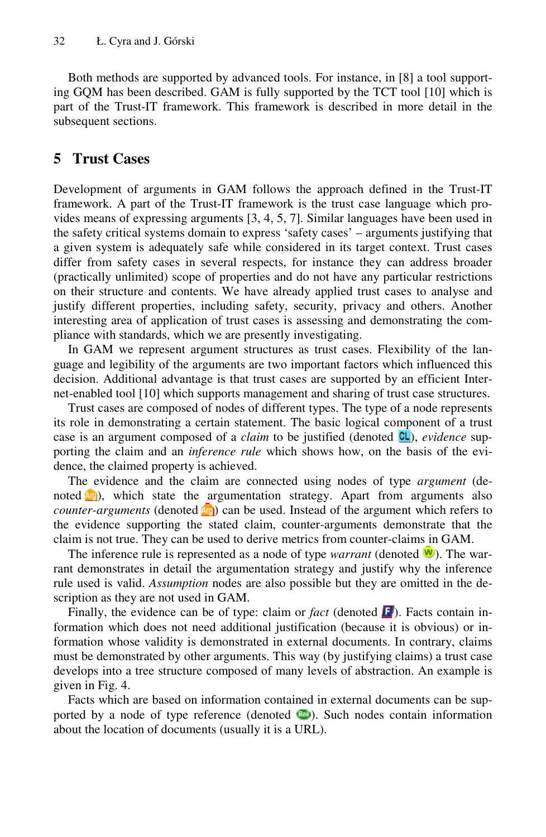Both methods are supported by advanced tools. For instance, in [8] a tool supporting GQM has been described. GAM is fully supported by the TCT tool [10] which is part of the Trust-IT framework. This framework is described in more detail in the subsequent sections.

## **5 Trust Cases**

Development of arguments in GAM follows the approach defined in the Trust-IT framework. A part of the Trust-IT framework is the trust case language which provides means of expressing arguments [3, 4, 5, 7]. Similar languages have been used in the safety critical systems domain to express 'safety cases' – arguments justifying that a given system is adequately safe while considered in its target context. Trust cases differ from safety cases in several respects, for instance they can address broader (practically unlimited) scope of properties and do not have any particular restrictions on their structure and contents. We have already applied trust cases to analyse and justify different properties, including safety, security, privacy and others. Another interesting area of application of trust cases is assessing and demonstrating the compliance with standards, which we are presently investigating.

In GAM we represent argument structures as trust cases. Flexibility of the language and legibility of the arguments are two important factors which influenced this decision. Additional advantage is that trust cases are supported by an efficient Internet-enabled tool [10] which supports management and sharing of trust case structures.

Trust cases are composed of nodes of different types. The type of a node represents its role in demonstrating a certain statement. The basic logical component of a trust case is an argument composed of a *claim* to be justified (denoted **CL**), *evidence* supporting the claim and an *inference rule* which shows how, on the basis of the evidence, the claimed property is achieved.

The evidence and the claim are connected using nodes of type *argument* (denoted  $\log$ ), which state the argumentation strategy. Apart from arguments also *counter-arguments* (denoted  $\Gamma$ ) can be used. Instead of the argument which refers to the evidence supporting the stated claim, counter-arguments demonstrate that the claim is not true. They can be used to derive metrics from counter-claims in GAM.

The inference rule is represented as a node of type *warrant* (denoted ). The warrant demonstrates in detail the argumentation strategy and justify why the inference rule used is valid. *Assumption* nodes are also possible but they are omitted in the description as they are not used in GAM.

Finally, the evidence can be of type: claim or *fact* (denoted  $\mathbf{F}$ ). Facts contain information which does not need additional justification (because it is obvious) or information whose validity is demonstrated in external documents. In contrary, claims must be demonstrated by other arguments. This way (by justifying claims) a trust case develops into a tree structure composed of many levels of abstraction. An example is given in Fig. 4.

Facts which are based on information contained in external documents can be supported by a node of type reference (denoted  $\blacksquare$ ). Such nodes contain information about the location of documents (usually it is a URL).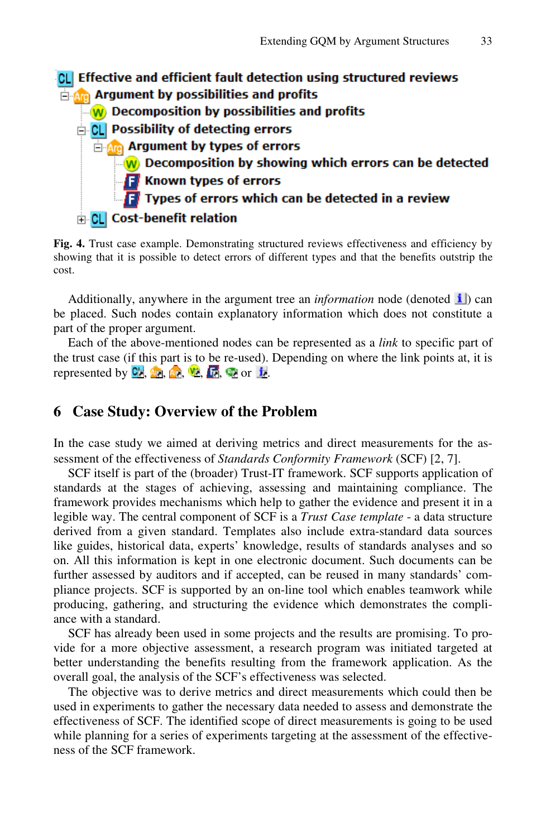

**Fig. 4.** Trust case example. Demonstrating structured reviews effectiveness and efficiency by showing that it is possible to detect errors of different types and that the benefits outstrip the cost.

Additionally, anywhere in the argument tree an *information* node (denoted **i**) can be placed. Such nodes contain explanatory information which does not constitute a part of the proper argument.

Each of the above-mentioned nodes can be represented as a *link* to specific part of the trust case (if this part is to be re-used). Depending on where the link points at, it is represented by  $C_1$ ,  $C_2$ ,  $C_3$ ,  $C_4$ ,  $C_5$ ,  $C_6$  or  $\mathbf{i}$ .

#### **6 Case Study: Overview of the Problem**

In the case study we aimed at deriving metrics and direct measurements for the assessment of the effectiveness of *Standards Conformity Framework* (SCF) [2, 7].

SCF itself is part of the (broader) Trust-IT framework. SCF supports application of standards at the stages of achieving, assessing and maintaining compliance. The framework provides mechanisms which help to gather the evidence and present it in a legible way. The central component of SCF is a *Trust Case template* - a data structure derived from a given standard. Templates also include extra-standard data sources like guides, historical data, experts' knowledge, results of standards analyses and so on. All this information is kept in one electronic document. Such documents can be further assessed by auditors and if accepted, can be reused in many standards' compliance projects. SCF is supported by an on-line tool which enables teamwork while producing, gathering, and structuring the evidence which demonstrates the compliance with a standard.

SCF has already been used in some projects and the results are promising. To provide for a more objective assessment, a research program was initiated targeted at better understanding the benefits resulting from the framework application. As the overall goal, the analysis of the SCF's effectiveness was selected.

The objective was to derive metrics and direct measurements which could then be used in experiments to gather the necessary data needed to assess and demonstrate the effectiveness of SCF. The identified scope of direct measurements is going to be used while planning for a series of experiments targeting at the assessment of the effectiveness of the SCF framework.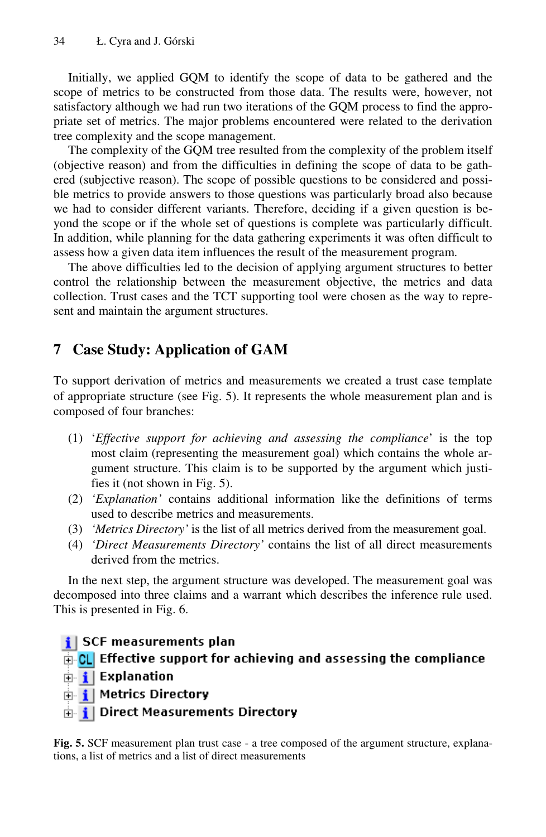Initially, we applied GQM to identify the scope of data to be gathered and the scope of metrics to be constructed from those data. The results were, however, not satisfactory although we had run two iterations of the GQM process to find the appropriate set of metrics. The major problems encountered were related to the derivation tree complexity and the scope management.

The complexity of the GQM tree resulted from the complexity of the problem itself (objective reason) and from the difficulties in defining the scope of data to be gathered (subjective reason). The scope of possible questions to be considered and possible metrics to provide answers to those questions was particularly broad also because we had to consider different variants. Therefore, deciding if a given question is beyond the scope or if the whole set of questions is complete was particularly difficult. In addition, while planning for the data gathering experiments it was often difficult to assess how a given data item influences the result of the measurement program.

The above difficulties led to the decision of applying argument structures to better control the relationship between the measurement objective, the metrics and data collection. Trust cases and the TCT supporting tool were chosen as the way to represent and maintain the argument structures.

## **7 Case Study: Application of GAM**

To support derivation of metrics and measurements we created a trust case template of appropriate structure (see Fig. 5). It represents the whole measurement plan and is composed of four branches:

- (1) '*Effective support for achieving and assessing the compliance*' is the top most claim (representing the measurement goal) which contains the whole argument structure. This claim is to be supported by the argument which justifies it (not shown in Fig. 5).
- (2) *'Explanation'* contains additional information like the definitions of terms used to describe metrics and measurements.
- (3) *'Metrics Directory'* is the list of all metrics derived from the measurement goal.
- (4) *'Direct Measurements Directory'* contains the list of all direct measurements derived from the metrics.

In the next step, the argument structure was developed. The measurement goal was decomposed into three claims and a warrant which describes the inference rule used. This is presented in Fig. 6.

- $\mathbf{i}$  SCF measurements plan
- **GL** Effective support for achieving and assessing the compliance
- $\frac{1}{\mathbf{H}}$  | Explanation
- 由 i Metrics Directory
- **i** i Direct Measurements Directory

**Fig. 5.** SCF measurement plan trust case - a tree composed of the argument structure, explanations, a list of metrics and a list of direct measurements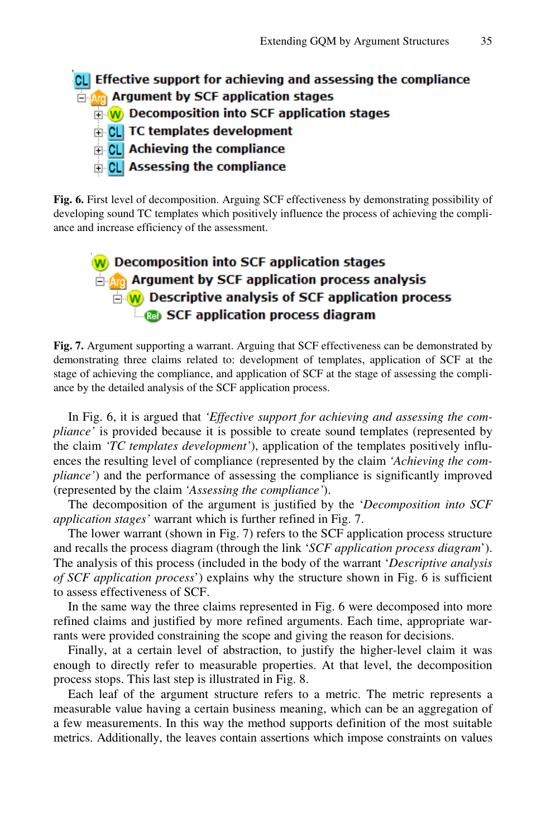CL Effective support for achieving and assessing the compliance  $\overline{\bigoplus_{\mathbf{A}(\mathbf{0})}}$  Argument by SCF application stages  $\mathbb{H}(\mathsf{W})$  Decomposition into SCF application stages **E.CL TC templates development E.** CL Achieving the compliance **E.** CL Assessing the compliance

**Fig. 6.** First level of decomposition. Arguing SCF effectiveness by demonstrating possibility of developing sound TC templates which positively influence the process of achieving the compliance and increase efficiency of the assessment.

## W Decomposition into SCF application stages  $\mathbb{H}$  Argument by SCF application process analysis  $\overline{\mathbb{H}}$  Descriptive analysis of SCF application process **Co** SCF application process diagram

**Fig. 7.** Argument supporting a warrant. Arguing that SCF effectiveness can be demonstrated by demonstrating three claims related to: development of templates, application of SCF at the stage of achieving the compliance, and application of SCF at the stage of assessing the compliance by the detailed analysis of the SCF application process.

In Fig. 6, it is argued that *'Effective support for achieving and assessing the compliance'* is provided because it is possible to create sound templates (represented by the claim *'TC templates development'*), application of the templates positively influences the resulting level of compliance (represented by the claim *'Achieving the compliance'*) and the performance of assessing the compliance is significantly improved (represented by the claim *'Assessing the compliance'*).

The decomposition of the argument is justified by the '*Decomposition into SCF application stages'* warrant which is further refined in Fig. 7.

The lower warrant (shown in Fig. 7) refers to the SCF application process structure and recalls the process diagram (through the link '*SCF application process diagram*'). The analysis of this process (included in the body of the warrant '*Descriptive analysis of SCF application process*') explains why the structure shown in Fig. 6 is sufficient to assess effectiveness of SCF.

In the same way the three claims represented in Fig. 6 were decomposed into more refined claims and justified by more refined arguments. Each time, appropriate warrants were provided constraining the scope and giving the reason for decisions.

Finally, at a certain level of abstraction, to justify the higher-level claim it was enough to directly refer to measurable properties. At that level, the decomposition process stops. This last step is illustrated in Fig. 8.

Each leaf of the argument structure refers to a metric. The metric represents a measurable value having a certain business meaning, which can be an aggregation of a few measurements. In this way the method supports definition of the most suitable metrics. Additionally, the leaves contain assertions which impose constraints on values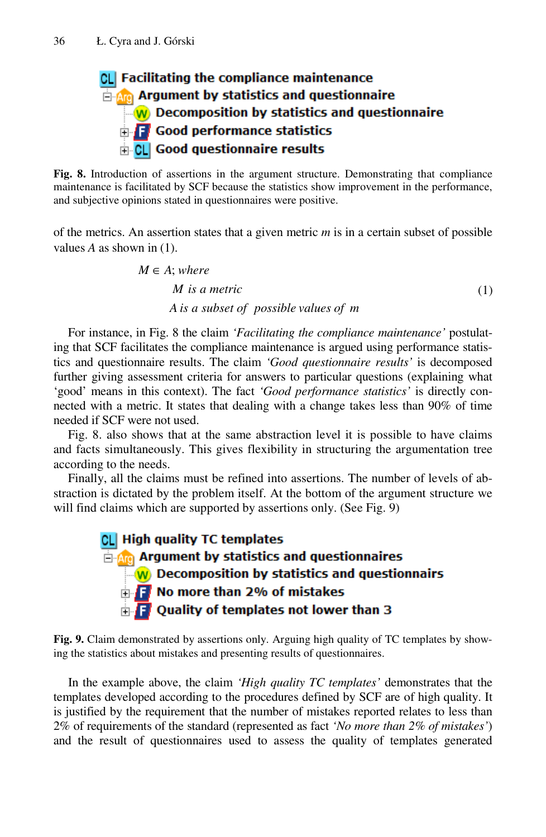# CL Facilitating the compliance maintenance  $\overline{\Box}$  Argument by statistics and questionnaire  $\overline{\mathbb{W}}$  Decomposition by statistics and questionnaire **E** Good performance statistics **E. CLI** Good questionnaire results

**Fig. 8.** Introduction of assertions in the argument structure. Demonstrating that compliance maintenance is facilitated by SCF because the statistics show improvement in the performance, and subjective opinions stated in questionnaires were positive.

of the metrics. An assertion states that a given metric *m* is in a certain subset of possible values *A* as shown in (1).

$$
M \in A; where
$$
  
\nM is a metric  
\nA is a subset of possible values of m\n
$$
(1)
$$

For instance, in Fig. 8 the claim *'Facilitating the compliance maintenance'* postulating that SCF facilitates the compliance maintenance is argued using performance statistics and questionnaire results. The claim *'Good questionnaire results'* is decomposed further giving assessment criteria for answers to particular questions (explaining what 'good' means in this context). The fact *'Good performance statistics'* is directly connected with a metric. It states that dealing with a change takes less than 90% of time needed if SCF were not used.

Fig. 8. also shows that at the same abstraction level it is possible to have claims and facts simultaneously. This gives flexibility in structuring the argumentation tree according to the needs.

Finally, all the claims must be refined into assertions. The number of levels of abstraction is dictated by the problem itself. At the bottom of the argument structure we will find claims which are supported by assertions only. (See Fig. 9)

# CL High quality TC templates  $\overline{\Box}$  Argument by statistics and questionnaires  $\sqrt{\mathsf{w}}$  Decomposition by statistics and questionnairs **E** No more than 2% of mistakes **Example 12** Quality of templates not lower than 3

**Fig. 9.** Claim demonstrated by assertions only. Arguing high quality of TC templates by showing the statistics about mistakes and presenting results of questionnaires.

In the example above, the claim *'High quality TC templates'* demonstrates that the templates developed according to the procedures defined by SCF are of high quality. It is justified by the requirement that the number of mistakes reported relates to less than 2% of requirements of the standard (represented as fact *'No more than 2% of mistakes'*) and the result of questionnaires used to assess the quality of templates generated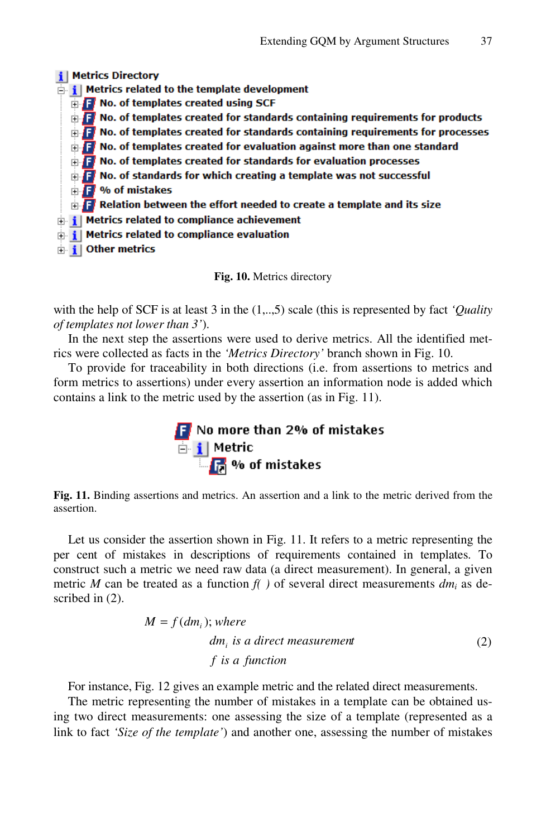

**Fig. 10.** Metrics directory

with the help of SCF is at least 3 in the  $(1,..,5)$  scale (this is represented by fact *'Quality of templates not lower than 3'*).

In the next step the assertions were used to derive metrics. All the identified metrics were collected as facts in the *'Metrics Directory'* branch shown in Fig. 10.

To provide for traceability in both directions (i.e. from assertions to metrics and form metrics to assertions) under every assertion an information node is added which contains a link to the metric used by the assertion (as in Fig. 11).





Let us consider the assertion shown in Fig. 11. It refers to a metric representing the per cent of mistakes in descriptions of requirements contained in templates. To construct such a metric we need raw data (a direct measurement). In general, a given metric *M* can be treated as a function  $f()$  of several direct measurements  $dm<sub>i</sub>$  as described in (2).

$$
M = f(dmi)
$$
; where  
\n
$$
dmi is a direct measurement\nf is a function
$$
\n(2)

For instance, Fig. 12 gives an example metric and the related direct measurements.

The metric representing the number of mistakes in a template can be obtained using two direct measurements: one assessing the size of a template (represented as a link to fact *'Size of the template'*) and another one, assessing the number of mistakes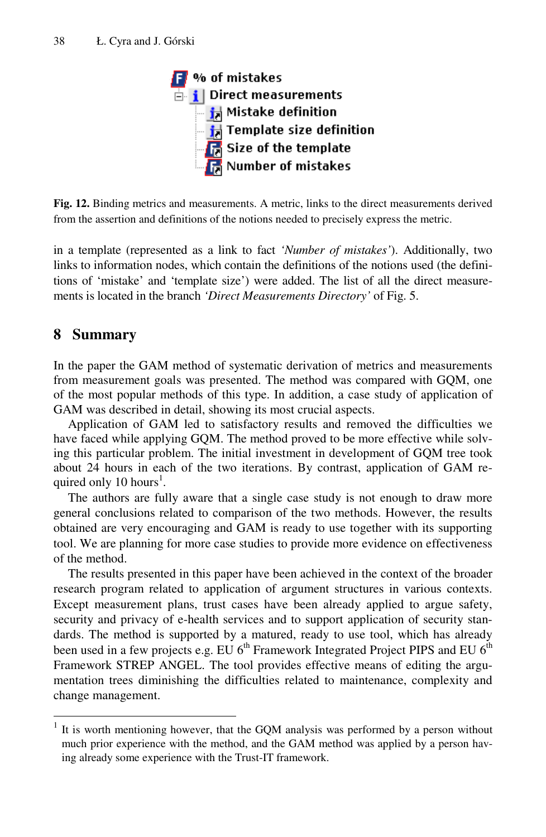

**Fig. 12.** Binding metrics and measurements. A metric, links to the direct measurements derived from the assertion and definitions of the notions needed to precisely express the metric.

in a template (represented as a link to fact *'Number of mistakes'*). Additionally, two links to information nodes, which contain the definitions of the notions used (the definitions of 'mistake' and 'template size') were added. The list of all the direct measurements is located in the branch *'Direct Measurements Directory'* of Fig. 5.

### **8 Summary**

j

In the paper the GAM method of systematic derivation of metrics and measurements from measurement goals was presented. The method was compared with GQM, one of the most popular methods of this type. In addition, a case study of application of GAM was described in detail, showing its most crucial aspects.

Application of GAM led to satisfactory results and removed the difficulties we have faced while applying GQM. The method proved to be more effective while solving this particular problem. The initial investment in development of GQM tree took about 24 hours in each of the two iterations. By contrast, application of GAM required only 10 hours<sup>1</sup>.

The authors are fully aware that a single case study is not enough to draw more general conclusions related to comparison of the two methods. However, the results obtained are very encouraging and GAM is ready to use together with its supporting tool. We are planning for more case studies to provide more evidence on effectiveness of the method.

The results presented in this paper have been achieved in the context of the broader research program related to application of argument structures in various contexts. Except measurement plans, trust cases have been already applied to argue safety, security and privacy of e-health services and to support application of security standards. The method is supported by a matured, ready to use tool, which has already been used in a few projects e.g. EU 6<sup>th</sup> Framework Integrated Project PIPS and EU 6<sup>th</sup> Framework STREP ANGEL. The tool provides effective means of editing the argumentation trees diminishing the difficulties related to maintenance, complexity and change management.

<sup>1</sup> It is worth mentioning however, that the GQM analysis was performed by a person without much prior experience with the method, and the GAM method was applied by a person having already some experience with the Trust-IT framework.